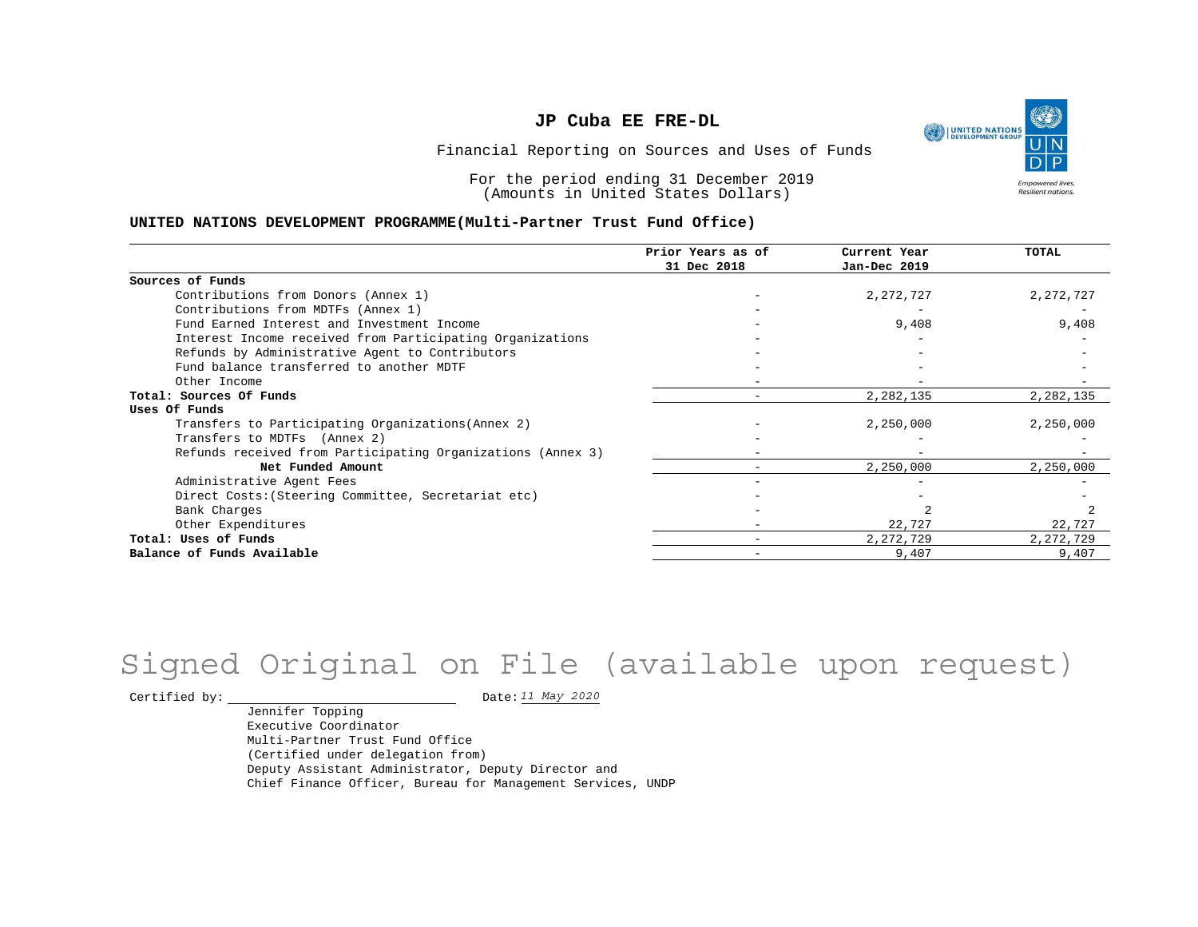UNITED NATIONS **Empowered lives** Resilient nations.

Financial Reporting on Sources and Uses of Funds

For the period ending 31 December 2019 (Amounts in United States Dollars)

#### **UNITED NATIONS DEVELOPMENT PROGRAMME(Multi-Partner Trust Fund Office)**

|                                                             | Prior Years as of<br>31 Dec 2018 | Current Year<br>Jan-Dec 2019 | TOTAL       |
|-------------------------------------------------------------|----------------------------------|------------------------------|-------------|
|                                                             |                                  |                              |             |
| Sources of Funds                                            |                                  |                              |             |
| Contributions from Donors (Annex 1)                         |                                  | 2,272,727                    | 2, 272, 727 |
| Contributions from MDTFs (Annex 1)                          |                                  |                              |             |
| Fund Earned Interest and Investment Income                  |                                  | 9,408                        | 9,408       |
| Interest Income received from Participating Organizations   |                                  |                              |             |
| Refunds by Administrative Agent to Contributors             |                                  |                              |             |
| Fund balance transferred to another MDTF                    |                                  |                              |             |
| Other Income                                                |                                  |                              |             |
| Total: Sources Of Funds                                     |                                  | 2,282,135                    | 2,282,135   |
| Uses Of Funds                                               |                                  |                              |             |
| Transfers to Participating Organizations (Annex 2)          |                                  | 2,250,000                    | 2,250,000   |
| Transfers to MDTFs (Annex 2)                                |                                  |                              |             |
| Refunds received from Participating Organizations (Annex 3) |                                  |                              |             |
| Net Funded Amount                                           |                                  | 2,250,000                    | 2,250,000   |
| Administrative Agent Fees                                   |                                  |                              |             |
| Direct Costs: (Steering Committee, Secretariat etc)         |                                  |                              |             |
| Bank Charges                                                |                                  |                              |             |
| Other Expenditures                                          |                                  | 22,727                       | 22,727      |
| Total: Uses of Funds                                        |                                  | 2, 272, 729                  | 2,272,729   |
| Balance of Funds Available                                  |                                  | 9,407                        | 9,407       |

# Signed Original on File (available upon request)

Certified by:  $\frac{11 May 2020}{100}$ 

Jennifer Topping Executive Coordinator Multi-Partner Trust Fund Office (Certified under delegation from) Deputy Assistant Administrator, Deputy Director and Chief Finance Officer, Bureau for Management Services, UNDP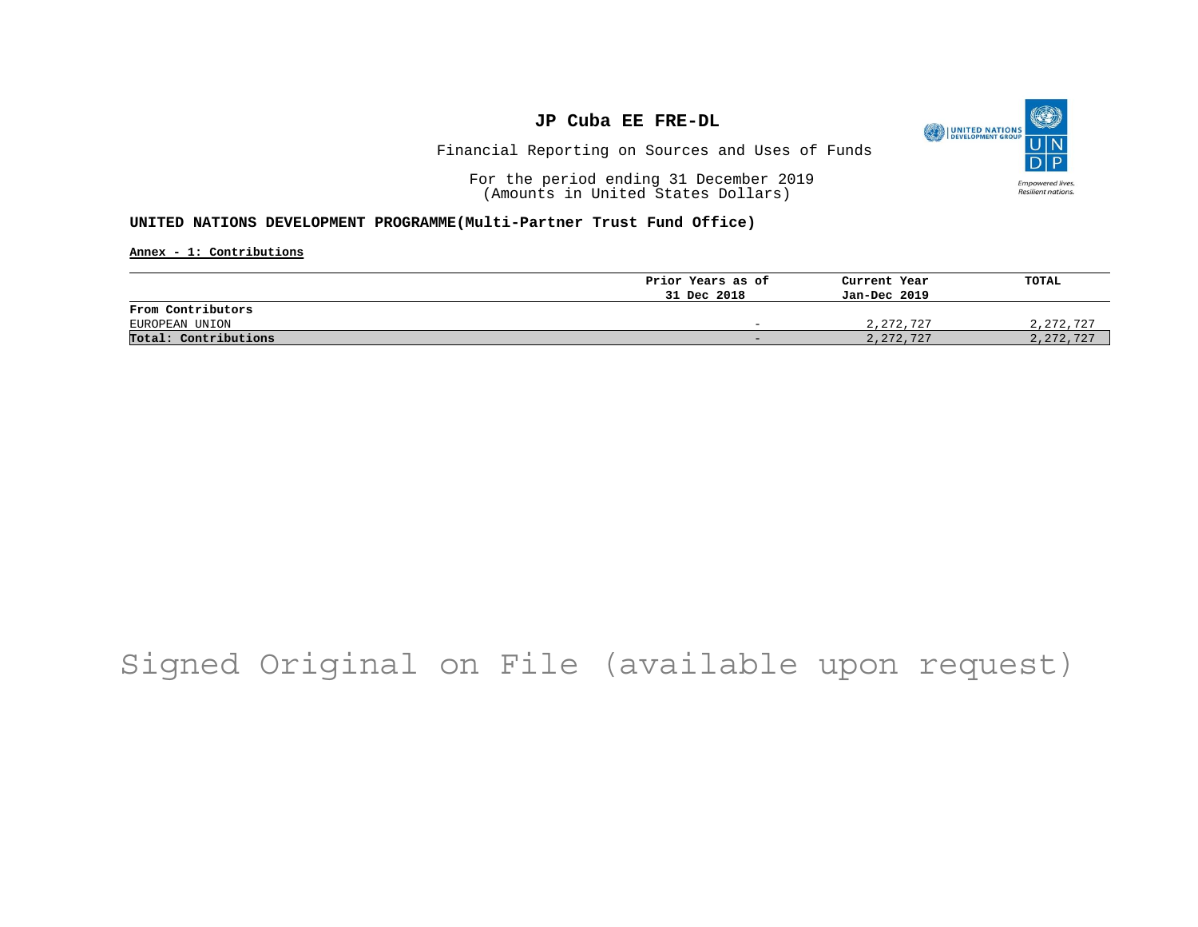

Financial Reporting on Sources and Uses of Funds

For the period ending 31 December 2019 (Amounts in United States Dollars)

#### **UNITED NATIONS DEVELOPMENT PROGRAMME(Multi-Partner Trust Fund Office)**

**Annex - 1: Contributions**

|                      | Prior Years as of        | Current Year | TOTAL       |
|----------------------|--------------------------|--------------|-------------|
|                      | 31 Dec 2018              | Jan-Dec 2019 |             |
| From Contributors    |                          |              |             |
| EUROPEAN UNION       | $\overline{\phantom{0}}$ | 2,272,727    | 2,272,727   |
| Total: Contributions | -                        | 2, 272, 727  | 2, 272, 727 |

# Signed Original on File (available upon request)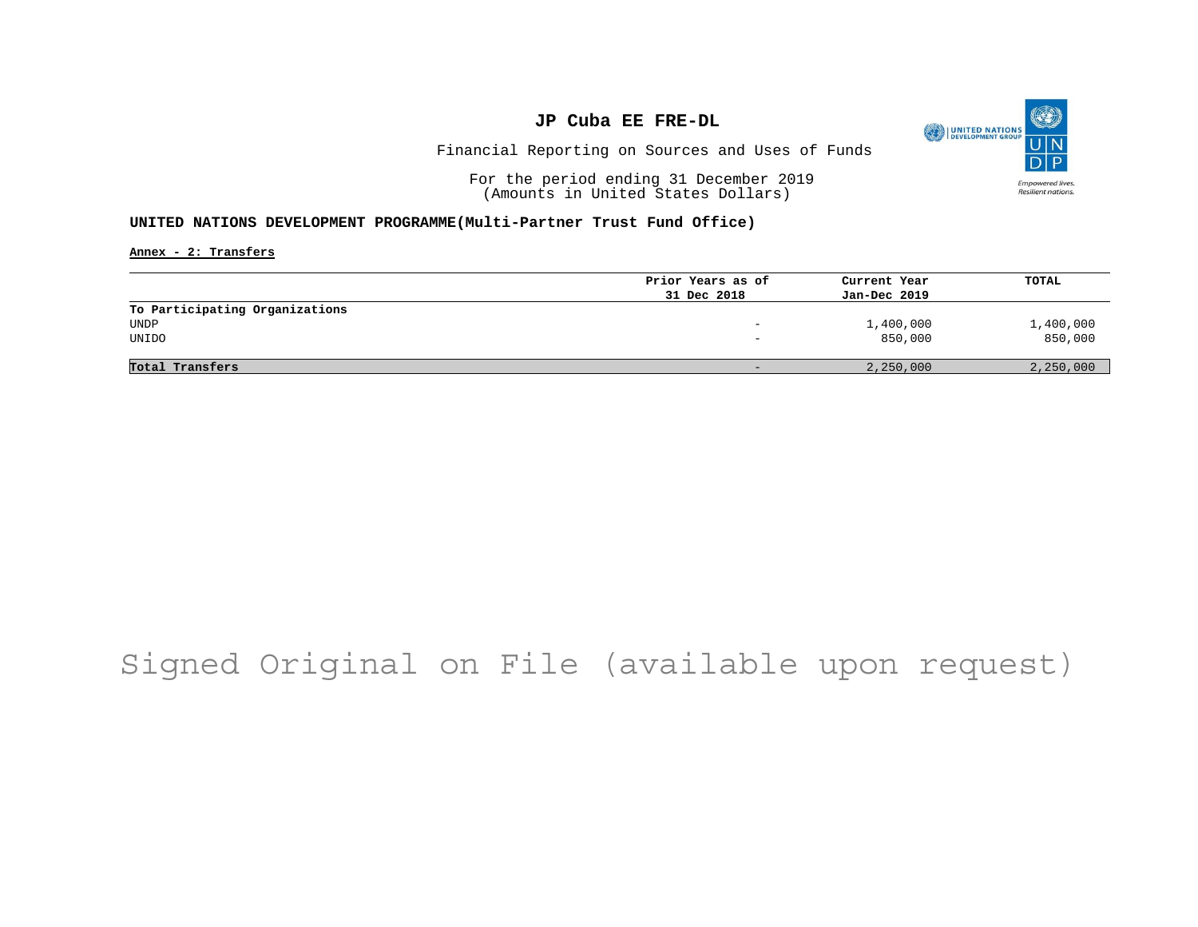

Financial Reporting on Sources and Uses of Funds

For the period ending 31 December 2019 (Amounts in United States Dollars)

#### **UNITED NATIONS DEVELOPMENT PROGRAMME(Multi-Partner Trust Fund Office)**

**Annex - 2: Transfers**

|                                | Prior Years as of        | Current Year | TOTAL     |
|--------------------------------|--------------------------|--------------|-----------|
|                                | 31 Dec 2018              | Jan-Dec 2019 |           |
| To Participating Organizations |                          |              |           |
| UNDP                           |                          | 1,400,000    | 1,400,000 |
| UNIDO                          | $\overline{\phantom{0}}$ | 850,000      | 850,000   |
|                                |                          |              |           |
| Total Transfers                |                          | 2,250,000    | 2,250,000 |

# Signed Original on File (available upon request)